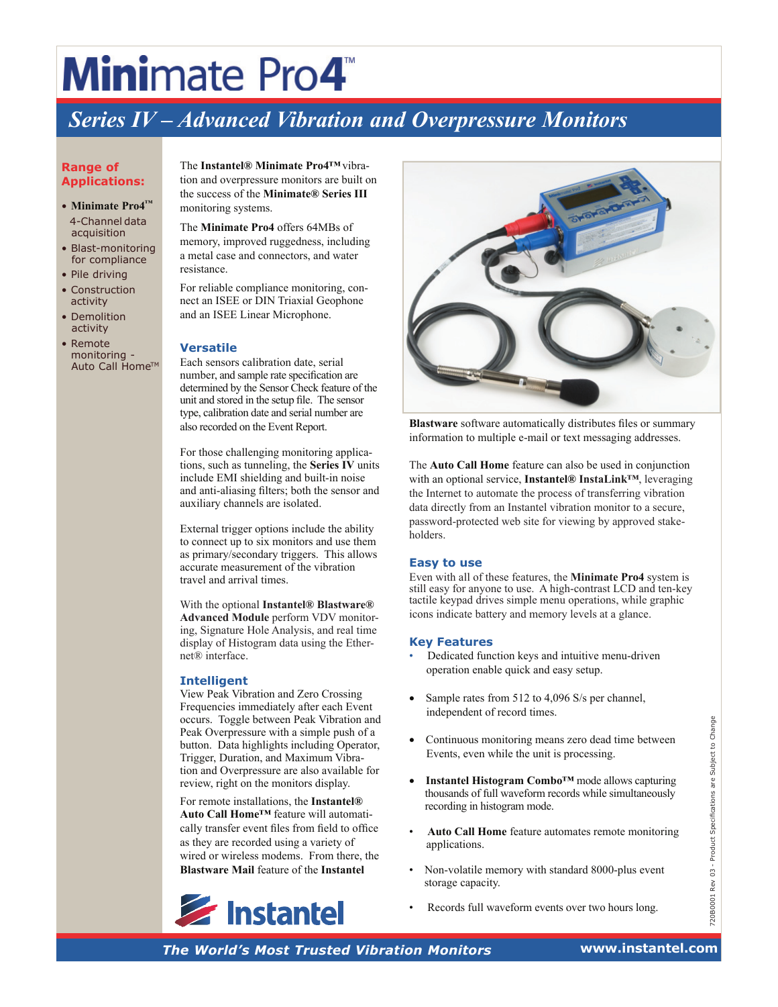## **Mini**mate Pro4

### *Series IV – Advanced Vibration and Overpressure Monitors*

#### **Range of Applications:**

- **Minimate Pro4™** 4-Channel data acquisition
- Blast-monitoring for compliance
- Pile driving
- Construction activity • Demolition
- activity • Remote monitoring -

Auto Call Home™

The **Instantel® Minimate Pro4™**vibration and overpressure monitors are built on the success of the **Minimate® Series III** monitoring systems.

The **Minimate Pro4** offers 64MBs of memory, improved ruggedness, including a metal case and connectors, and water resistance.

For reliable compliance monitoring, connect an ISEE or DIN Triaxial Geophone and an ISEE Linear Microphone.

#### **Versatile**

Each sensors calibration date, serial number, and sample rate specification are determined by the Sensor Check feature of the unit and stored in the setup file. The sensor type, calibration date and serial number are also recorded on the Event Report.

For those challenging monitoring applications, such as tunneling, the **Series IV** units include EMI shielding and built-in noise and anti-aliasing filters; both the sensor and auxiliary channels are isolated.

External trigger options include the ability to connect up to six monitors and use them as primary/secondary triggers. This allows accurate measurement of the vibration travel and arrival times.

With the optional **Instantel® Blastware® Advanced Module** perform VDV monitoring, Signature Hole Analysis, and real time display of Histogram data using the Ethernet® interface.

#### **Intelligent**

View Peak Vibration and Zero Crossing Frequencies immediately after each Event occurs. Toggle between Peak Vibration and Peak Overpressure with a simple push of a button. Data highlights including Operator, Trigger, Duration, and Maximum Vibration and Overpressure are also available for review, right on the monitors display.

**The World's Most Trusted Vibration Monitors**<br> **The World's Most Vibration Monitors** are the set with a simple push of a<br>
Trigger, Duration, and Monitors are also available for<br>
review, right on the monitors display.<br> **The** For remote installations, the **Instantel® Auto Call Home™** feature will automatically transfer event files from field to office as they are recorded using a variety of wired or wireless modems. From there, the **Blastware Mail** feature of the **Instantel** 





**Blastware** software automatically distributes files or summary information to multiple e-mail or text messaging addresses.

The **Auto Call Home** feature can also be used in conjunction with an optional service, **Instantel® InstaLink™**, leveraging the Internet to automate the process of transferring vibration data directly from an Instantel vibration monitor to a secure, password-protected web site for viewing by approved stakeholders.

#### **Easy to use**

Even with all of these features, the **Minimate Pro4** system is still easy for anyone to use. A high-contrast LCD and ten-key tactile keypad drives simple menu operations, while graphic icons indicate battery and memory levels at a glance.

#### **Key Features**

- Dedicated function keys and intuitive menu-driven operation enable quick and easy setup.
- Sample rates from 512 to 4,096 S/s per channel, independent of record times.
- Continuous monitoring means zero dead time between Events, even while the unit is processing.
- **Instantel Histogram Combo™** mode allows capturing thousands of full waveform records while simultaneously recording in histogram mode.
- **Auto Call Home** feature automates remote monitoring applications.
- Non-volatile memory with standard 8000-plus event storage capacity.
- Records full waveform events over two hours long.